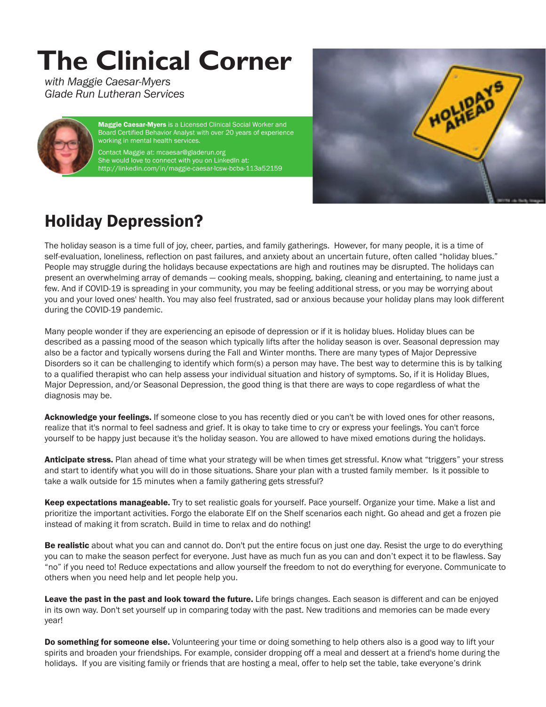## **The Clinical Corner**

*with Maggie Caesar-Myers Glade Run Lutheran Services*



**Maggie Caesar-Myers** is a Licensed Clinical Social Worker and Board Certified Behavior Analyst with over 20 years of experience working in mental health services.

Contact Maggie at: mcaesar@gladerun.org She would love to connect with you on LinkedIn at: http://linkedin.com/in/maggie-caesar-lcsw-bcba-113a52159



## Holiday Depression?

The holiday season is a time full of joy, cheer, parties, and family gatherings. However, for many people, it is a time of self-evaluation, loneliness, reflection on past failures, and anxiety about an uncertain future, often called "holiday blues." People may struggle during the holidays because expectations are high and routines may be disrupted. The holidays can present an overwhelming array of demands — cooking meals, shopping, baking, cleaning and entertaining, to name just a few. And if COVID-19 is spreading in your community, you may be feeling additional stress, or you may be worrying about you and your loved ones' health. You may also feel frustrated, sad or anxious because your holiday plans may look different during the COVID-19 pandemic.

Many people wonder if they are experiencing an episode of depression or if it is holiday blues. Holiday blues can be described as a passing mood of the season which typically lifts after the holiday season is over. Seasonal depression may also be a factor and typically worsens during the Fall and Winter months. There are many types of Major Depressive Disorders so it can be challenging to identify which form(s) a person may have. The best way to determine this is by talking to a qualified therapist who can help assess your individual situation and history of symptoms. So, if it is Holiday Blues, Major Depression, and/or Seasonal Depression, the good thing is that there are ways to cope regardless of what the diagnosis may be.

Acknowledge your feelings. If someone close to you has recently died or you can't be with loved ones for other reasons, realize that it's normal to feel sadness and grief. It is okay to take time to cry or express your feelings. You can't force yourself to be happy just because it's the holiday season. You are allowed to have mixed emotions during the holidays.

Anticipate stress. Plan ahead of time what your strategy will be when times get stressful. Know what "triggers" your stress and start to identify what you will do in those situations. Share your plan with a trusted family member. Is it possible to take a walk outside for 15 minutes when a family gathering gets stressful?

Keep expectations manageable. Try to set realistic goals for yourself. Pace yourself. Organize your time. Make a list and prioritize the important activities. Forgo the elaborate Elf on the Shelf scenarios each night. Go ahead and get a frozen pie instead of making it from scratch. Build in time to relax and do nothing!

Be realistic about what you can and cannot do. Don't put the entire focus on just one day. Resist the urge to do everything you can to make the season perfect for everyone. Just have as much fun as you can and don't expect it to be flawless. Say "no" if you need to! Reduce expectations and allow yourself the freedom to not do everything for everyone. Communicate to others when you need help and let people help you.

Leave the past in the past and look toward the future. Life brings changes. Each season is different and can be enjoyed in its own way. Don't set yourself up in comparing today with the past. New traditions and memories can be made every year!

Do something for someone else. Volunteering your time or doing something to help others also is a good way to lift your spirits and broaden your friendships. For example, consider dropping off a meal and dessert at a friend's home during the holidays. If you are visiting family or friends that are hosting a meal, offer to help set the table, take everyone's drink